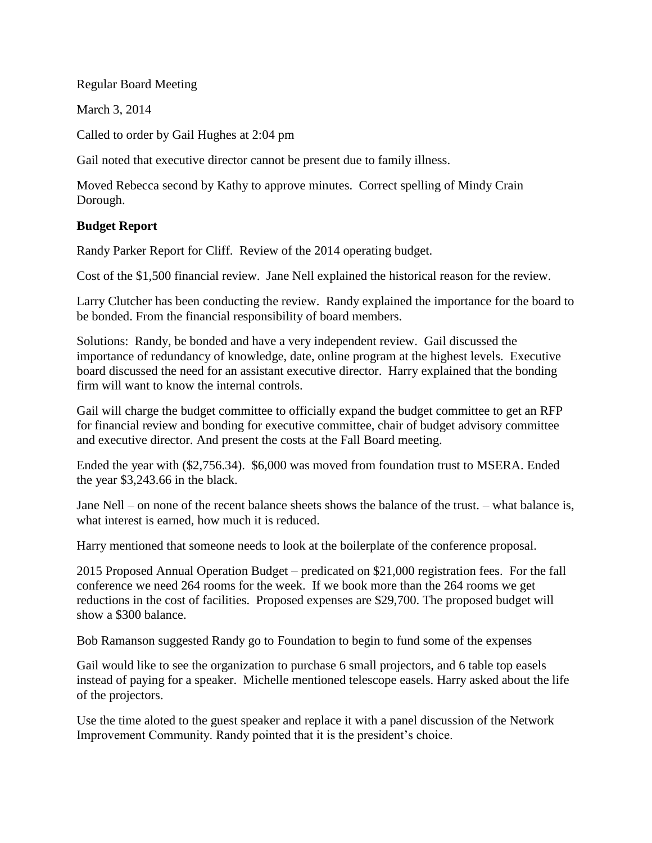Regular Board Meeting

March 3, 2014

Called to order by Gail Hughes at 2:04 pm

Gail noted that executive director cannot be present due to family illness.

Moved Rebecca second by Kathy to approve minutes. Correct spelling of Mindy Crain Dorough.

## **Budget Report**

Randy Parker Report for Cliff. Review of the 2014 operating budget.

Cost of the \$1,500 financial review. Jane Nell explained the historical reason for the review.

Larry Clutcher has been conducting the review. Randy explained the importance for the board to be bonded. From the financial responsibility of board members.

Solutions: Randy, be bonded and have a very independent review. Gail discussed the importance of redundancy of knowledge, date, online program at the highest levels. Executive board discussed the need for an assistant executive director. Harry explained that the bonding firm will want to know the internal controls.

Gail will charge the budget committee to officially expand the budget committee to get an RFP for financial review and bonding for executive committee, chair of budget advisory committee and executive director. And present the costs at the Fall Board meeting.

Ended the year with (\$2,756.34). \$6,000 was moved from foundation trust to MSERA. Ended the year \$3,243.66 in the black.

Jane Nell – on none of the recent balance sheets shows the balance of the trust. – what balance is, what interest is earned, how much it is reduced.

Harry mentioned that someone needs to look at the boilerplate of the conference proposal.

2015 Proposed Annual Operation Budget – predicated on \$21,000 registration fees. For the fall conference we need 264 rooms for the week. If we book more than the 264 rooms we get reductions in the cost of facilities. Proposed expenses are \$29,700. The proposed budget will show a \$300 balance.

Bob Ramanson suggested Randy go to Foundation to begin to fund some of the expenses

Gail would like to see the organization to purchase 6 small projectors, and 6 table top easels instead of paying for a speaker. Michelle mentioned telescope easels. Harry asked about the life of the projectors.

Use the time aloted to the guest speaker and replace it with a panel discussion of the Network Improvement Community. Randy pointed that it is the president's choice.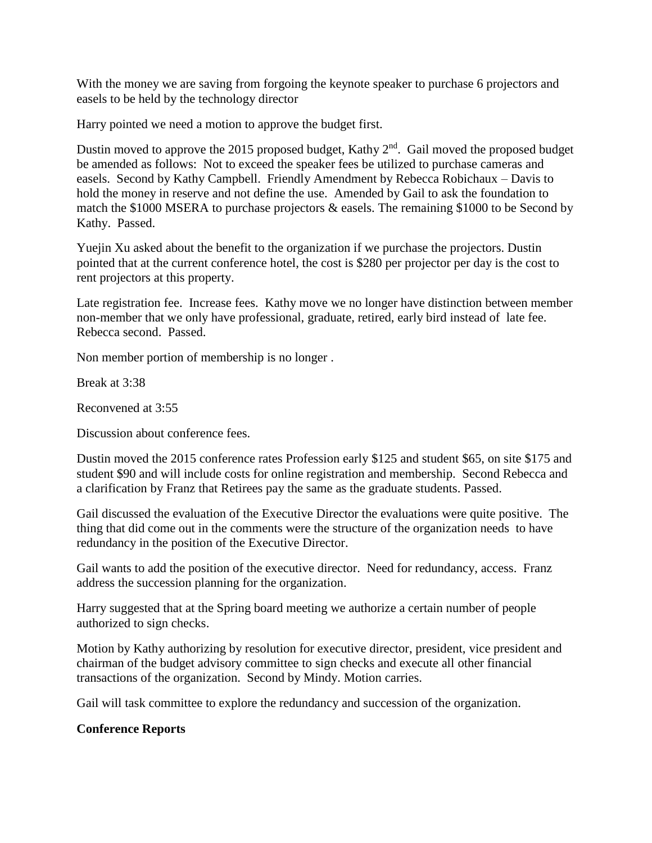With the money we are saving from forgoing the keynote speaker to purchase 6 projectors and easels to be held by the technology director

Harry pointed we need a motion to approve the budget first.

Dustin moved to approve the 2015 proposed budget, Kathy 2<sup>nd</sup>. Gail moved the proposed budget be amended as follows: Not to exceed the speaker fees be utilized to purchase cameras and easels. Second by Kathy Campbell. Friendly Amendment by Rebecca Robichaux – Davis to hold the money in reserve and not define the use. Amended by Gail to ask the foundation to match the \$1000 MSERA to purchase projectors & easels. The remaining \$1000 to be Second by Kathy. Passed.

Yuejin Xu asked about the benefit to the organization if we purchase the projectors. Dustin pointed that at the current conference hotel, the cost is \$280 per projector per day is the cost to rent projectors at this property.

Late registration fee. Increase fees. Kathy move we no longer have distinction between member non-member that we only have professional, graduate, retired, early bird instead of late fee. Rebecca second. Passed.

Non member portion of membership is no longer .

Break at 3:38

Reconvened at 3:55

Discussion about conference fees.

Dustin moved the 2015 conference rates Profession early \$125 and student \$65, on site \$175 and student \$90 and will include costs for online registration and membership. Second Rebecca and a clarification by Franz that Retirees pay the same as the graduate students. Passed.

Gail discussed the evaluation of the Executive Director the evaluations were quite positive. The thing that did come out in the comments were the structure of the organization needs to have redundancy in the position of the Executive Director.

Gail wants to add the position of the executive director. Need for redundancy, access. Franz address the succession planning for the organization.

Harry suggested that at the Spring board meeting we authorize a certain number of people authorized to sign checks.

Motion by Kathy authorizing by resolution for executive director, president, vice president and chairman of the budget advisory committee to sign checks and execute all other financial transactions of the organization. Second by Mindy. Motion carries.

Gail will task committee to explore the redundancy and succession of the organization.

# **Conference Reports**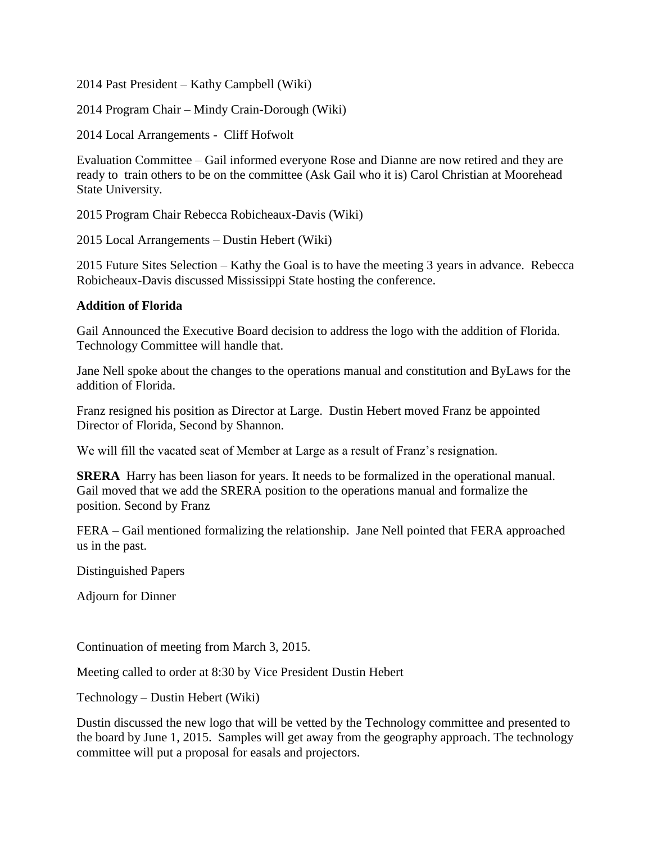2014 Past President – Kathy Campbell (Wiki)

2014 Program Chair – Mindy Crain-Dorough (Wiki)

2014 Local Arrangements - Cliff Hofwolt

Evaluation Committee – Gail informed everyone Rose and Dianne are now retired and they are ready to train others to be on the committee (Ask Gail who it is) Carol Christian at Moorehead State University.

2015 Program Chair Rebecca Robicheaux-Davis (Wiki)

2015 Local Arrangements – Dustin Hebert (Wiki)

2015 Future Sites Selection – Kathy the Goal is to have the meeting 3 years in advance. Rebecca Robicheaux-Davis discussed Mississippi State hosting the conference.

### **Addition of Florida**

Gail Announced the Executive Board decision to address the logo with the addition of Florida. Technology Committee will handle that.

Jane Nell spoke about the changes to the operations manual and constitution and ByLaws for the addition of Florida.

Franz resigned his position as Director at Large. Dustin Hebert moved Franz be appointed Director of Florida, Second by Shannon.

We will fill the vacated seat of Member at Large as a result of Franz's resignation.

**SRERA** Harry has been liason for years. It needs to be formalized in the operational manual. Gail moved that we add the SRERA position to the operations manual and formalize the position. Second by Franz

FERA – Gail mentioned formalizing the relationship. Jane Nell pointed that FERA approached us in the past.

Distinguished Papers

Adjourn for Dinner

Continuation of meeting from March 3, 2015.

Meeting called to order at 8:30 by Vice President Dustin Hebert

Technology – Dustin Hebert (Wiki)

Dustin discussed the new logo that will be vetted by the Technology committee and presented to the board by June 1, 2015. Samples will get away from the geography approach. The technology committee will put a proposal for easals and projectors.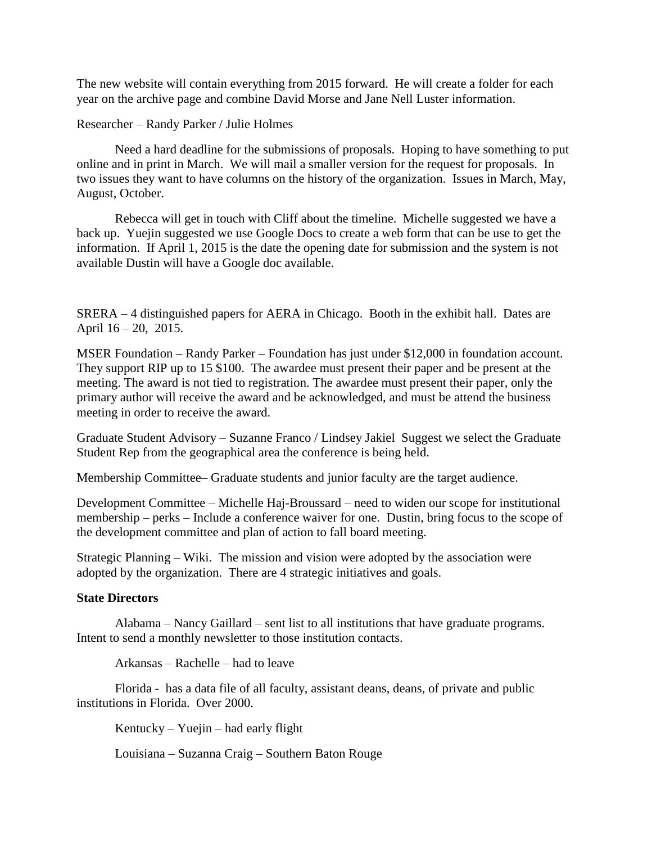The new website will contain everything from 2015 forward. He will create a folder for each year on the archive page and combine David Morse and Jane Nell Luster information.

#### Researcher – Randy Parker / Julie Holmes

Need a hard deadline for the submissions of proposals. Hoping to have something to put online and in print in March. We will mail a smaller version for the request for proposals. In two issues they want to have columns on the history of the organization. Issues in March, May, August, October.

Rebecca will get in touch with Cliff about the timeline. Michelle suggested we have a back up. Yuejin suggested we use Google Docs to create a web form that can be use to get the information. If April 1, 2015 is the date the opening date for submission and the system is not available Dustin will have a Google doc available.

SRERA – 4 distinguished papers for AERA in Chicago. Booth in the exhibit hall. Dates are April 16 – 20, 2015.

MSER Foundation – Randy Parker – Foundation has just under \$12,000 in foundation account. They support RIP up to 15 \$100. The awardee must present their paper and be present at the meeting. The award is not tied to registration. The awardee must present their paper, only the primary author will receive the award and be acknowledged, and must be attend the business meeting in order to receive the award.

Graduate Student Advisory – Suzanne Franco / Lindsey Jakiel Suggest we select the Graduate Student Rep from the geographical area the conference is being held.

Membership Committee– Graduate students and junior faculty are the target audience.

Development Committee – Michelle Haj-Broussard – need to widen our scope for institutional membership – perks – Include a conference waiver for one. Dustin, bring focus to the scope of the development committee and plan of action to fall board meeting.

Strategic Planning – Wiki. The mission and vision were adopted by the association were adopted by the organization. There are 4 strategic initiatives and goals.

#### **State Directors**

Alabama – Nancy Gaillard – sent list to all institutions that have graduate programs. Intent to send a monthly newsletter to those institution contacts.

Arkansas – Rachelle – had to leave

Florida - has a data file of all faculty, assistant deans, deans, of private and public institutions in Florida. Over 2000.

Kentucky – Yuejin – had early flight

Louisiana – Suzanna Craig – Southern Baton Rouge